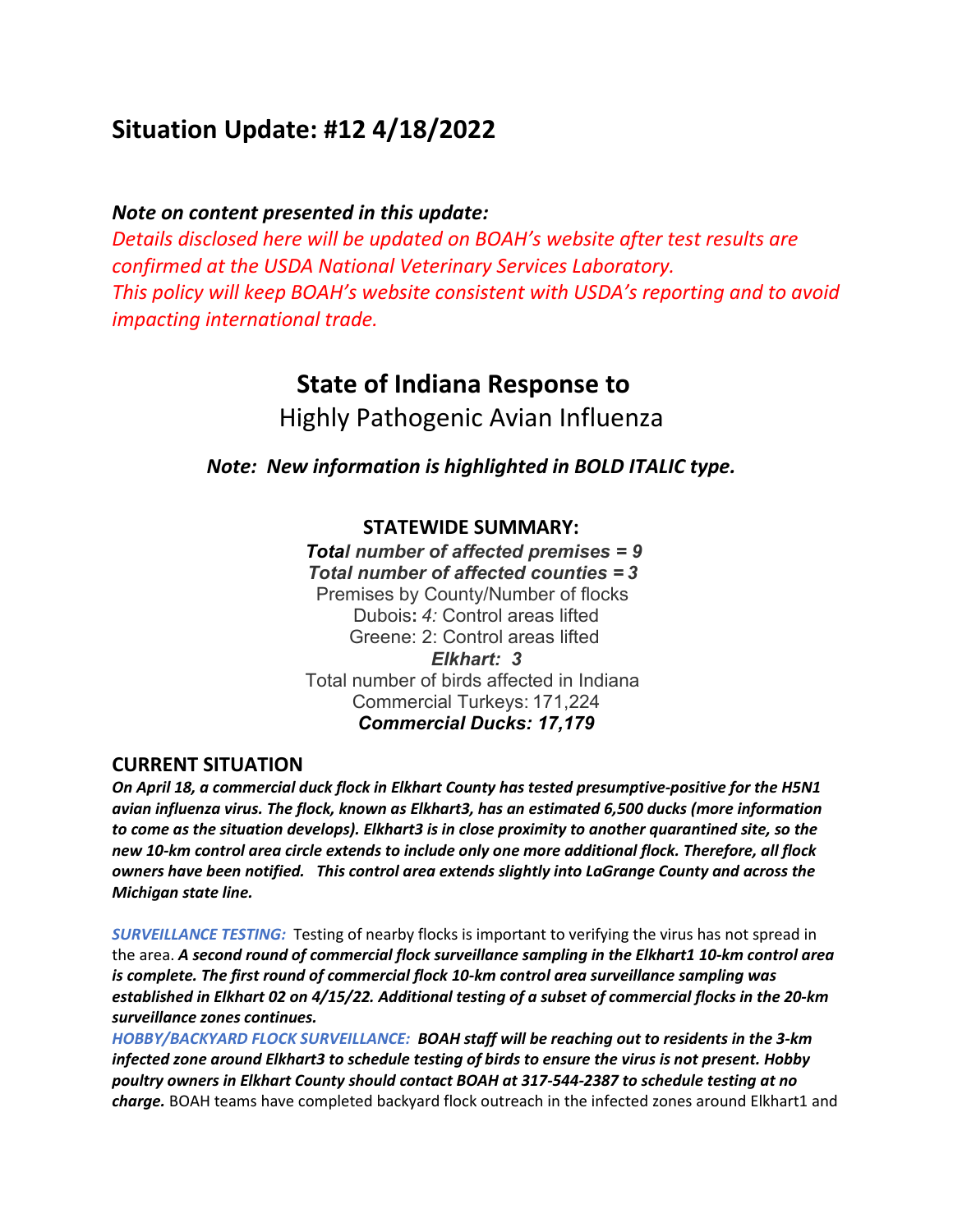# **Situation Update: #12 4/18/2022**

# *Note on content presented in this update:*

*Details disclosed here will be updated on BOAH's website after test results are confirmed at the USDA National Veterinary Services Laboratory. This policy will keep BOAH's website consistent with USDA's reporting and to avoid impacting international trade.*

# **State of Indiana Response to**

Highly Pathogenic Avian Influenza

*Note:  New information is highlighted in BOLD ITALIC type.*

## **STATEWIDE SUMMARY:**

*Total number of affected premises = 9 Total number of affected counties = 3* Premises by County/Number of flocks  Dubois**:** *4:* Control areas lifted Greene: 2: Control areas lifted *Elkhart: 3* Total number of birds affected in Indiana  Commercial Turkeys: 171,224 *Commercial Ducks: 17,179*

## **CURRENT SITUATION**

*On April 18, a commercial duck flock in Elkhart County has tested presumptive-positive for the H5N1 avian influenza virus. The flock, known as Elkhart3, has an estimated 6,500 ducks (more information to come as the situation develops). Elkhart3 is in close proximity to another quarantined site, so the new 10-km control area circle extends to include only one more additional flock. Therefore, all flock owners have been notified. This control area extends slightly into LaGrange County and across the Michigan state line.*

*SURVEILLANCE TESTING:* Testing of nearby flocks is important to verifying the virus has not spread in the area. *A second round of commercial flock surveillance sampling in the Elkhart1 10-km control area is complete. The first round of commercial flock 10-km control area surveillance sampling was established in Elkhart 02 on 4/15/22. Additional testing of a subset of commercial flocks in the 20-km surveillance zones continues.*

*HOBBY/BACKYARD FLOCK SURVEILLANCE: BOAH staff will be reaching out to residents in the 3-km infected zone around Elkhart3 to schedule testing of birds to ensure the virus is not present. Hobby poultry owners in Elkhart County should contact BOAH at 317-544-2387 to schedule testing at no charge.* BOAH teams have completed backyard flock outreach in the infected zones around Elkhart1 and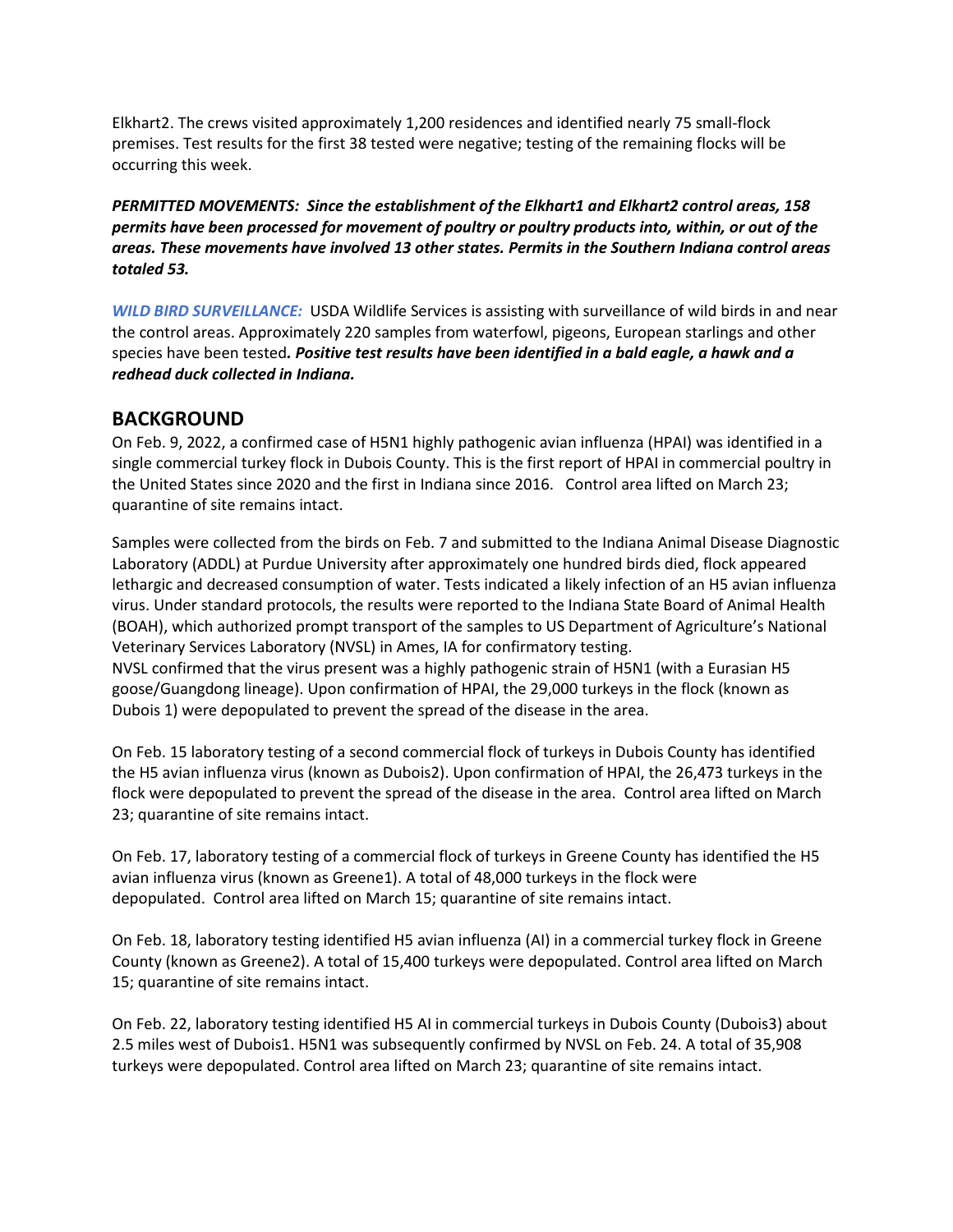Elkhart2. The crews visited approximately 1,200 residences and identified nearly 75 small-flock premises. Test results for the first 38 tested were negative; testing of the remaining flocks will be occurring this week.

*PERMITTED MOVEMENTS: Since the establishment of the Elkhart1 and Elkhart2 control areas, 158 permits have been processed for movement of poultry or poultry products into, within, or out of the areas. These movements have involved 13 other states. Permits in the Southern Indiana control areas totaled 53.*

*WILD BIRD SURVEILLANCE:* USDA Wildlife Services is assisting with surveillance of wild birds in and near the control areas. Approximately 220 samples from waterfowl, pigeons, European starlings and other species have been tested*. Positive test results have been identified in a bald eagle, a hawk and a redhead duck collected in Indiana.*

## **BACKGROUND**

On Feb. 9, 2022, a confirmed case of H5N1 highly pathogenic avian influenza (HPAI) was identified in a single commercial turkey flock in Dubois County. This is the first report of HPAI in commercial poultry in the United States since 2020 and the first in Indiana since 2016.   Control area lifted on March 23; quarantine of site remains intact.

Samples were collected from the birds on Feb. 7 and submitted to the Indiana Animal Disease Diagnostic Laboratory (ADDL) at Purdue University after approximately one hundred birds died, flock appeared lethargic and decreased consumption of water. Tests indicated a likely infection of an H5 avian influenza virus. Under standard protocols, the results were reported to the Indiana State Board of Animal Health (BOAH), which authorized prompt transport of the samples to US Department of Agriculture's National Veterinary Services Laboratory (NVSL) in Ames, IA for confirmatory testing.  NVSL confirmed that the virus present was a highly pathogenic strain of H5N1 (with a Eurasian H5 goose/Guangdong lineage). Upon confirmation of HPAI, the 29,000 turkeys in the flock (known as

On Feb. 15 laboratory testing of a second commercial flock of turkeys in Dubois County has identified the H5 avian influenza virus (known as Dubois2). Upon confirmation of HPAI, the 26,473 turkeys in the flock were depopulated to prevent the spread of the disease in the area. Control area lifted on March 23; quarantine of site remains intact.

Dubois 1) were depopulated to prevent the spread of the disease in the area.  

On Feb. 17, laboratory testing of a commercial flock of turkeys in Greene County has identified the H5 avian influenza virus (known as Greene1). A total of 48,000 turkeys in the flock were depopulated.  Control area lifted on March 15; quarantine of site remains intact.

On Feb. 18, laboratory testing identified H5 avian influenza (AI) in a commercial turkey flock in Greene County (known as Greene2). A total of 15,400 turkeys were depopulated. Control area lifted on March 15; quarantine of site remains intact.

On Feb. 22, laboratory testing identified H5 AI in commercial turkeys in Dubois County (Dubois3) about 2.5 miles west of Dubois1. H5N1 was subsequently confirmed by NVSL on Feb. 24. A total of 35,908 turkeys were depopulated. Control area lifted on March 23; quarantine of site remains intact.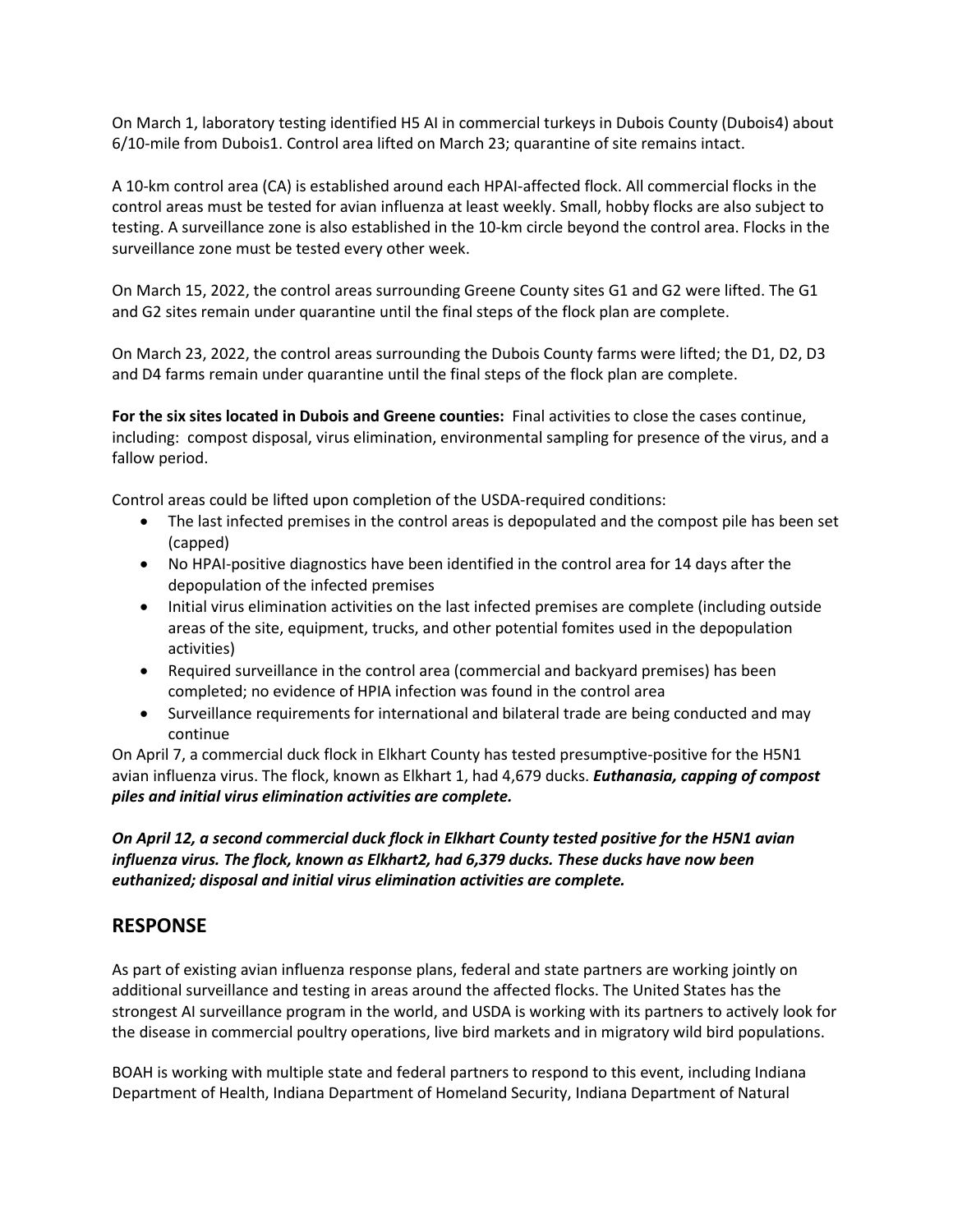On March 1, laboratory testing identified H5 AI in commercial turkeys in Dubois County (Dubois4) about 6/10-mile from Dubois1. Control area lifted on March 23; quarantine of site remains intact.

A 10-km control area (CA) is established around each HPAI-affected flock. All commercial flocks in the control areas must be tested for avian influenza at least weekly. Small, hobby flocks are also subject to testing. A surveillance zone is also established in the 10-km circle beyond the control area. Flocks in the surveillance zone must be tested every other week.

On March 15, 2022, the control areas surrounding Greene County sites G1 and G2 were lifted. The G1 and G2 sites remain under quarantine until the final steps of the flock plan are complete.

On March 23, 2022, the control areas surrounding the Dubois County farms were lifted; the D1, D2, D3 and D4 farms remain under quarantine until the final steps of the flock plan are complete.

**For the six sites located in Dubois and Greene counties:** Final activities to close the cases continue, including: compost disposal, virus elimination, environmental sampling for presence of the virus, and a fallow period.

Control areas could be lifted upon completion of the USDA-required conditions:

- The last infected premises in the control areas is depopulated and the compost pile has been set (capped)
- No HPAI-positive diagnostics have been identified in the control area for 14 days after the depopulation of the infected premises
- Initial virus elimination activities on the last infected premises are complete (including outside areas of the site, equipment, trucks, and other potential fomites used in the depopulation activities)
- Required surveillance in the control area (commercial and backyard premises) has been completed; no evidence of HPIA infection was found in the control area
- Surveillance requirements for international and bilateral trade are being conducted and may continue

On April 7, a commercial duck flock in Elkhart County has tested presumptive-positive for the H5N1 avian influenza virus. The flock, known as Elkhart 1, had 4,679 ducks. *Euthanasia, capping of compost piles and initial virus elimination activities are complete.*

*On April 12, a second commercial duck flock in Elkhart County tested positive for the H5N1 avian influenza virus. The flock, known as Elkhart2, had 6,379 ducks. These ducks have now been euthanized; disposal and initial virus elimination activities are complete.*

## **RESPONSE**

As part of existing avian influenza response plans, federal and state partners are working jointly on additional surveillance and testing in areas around the affected flocks. The United States has the strongest AI surveillance program in the world, and USDA is working with its partners to actively look for the disease in commercial poultry operations, live bird markets and in migratory wild bird populations.

BOAH is working with multiple state and federal partners to respond to this event, including Indiana Department of Health, Indiana Department of Homeland Security, Indiana Department of Natural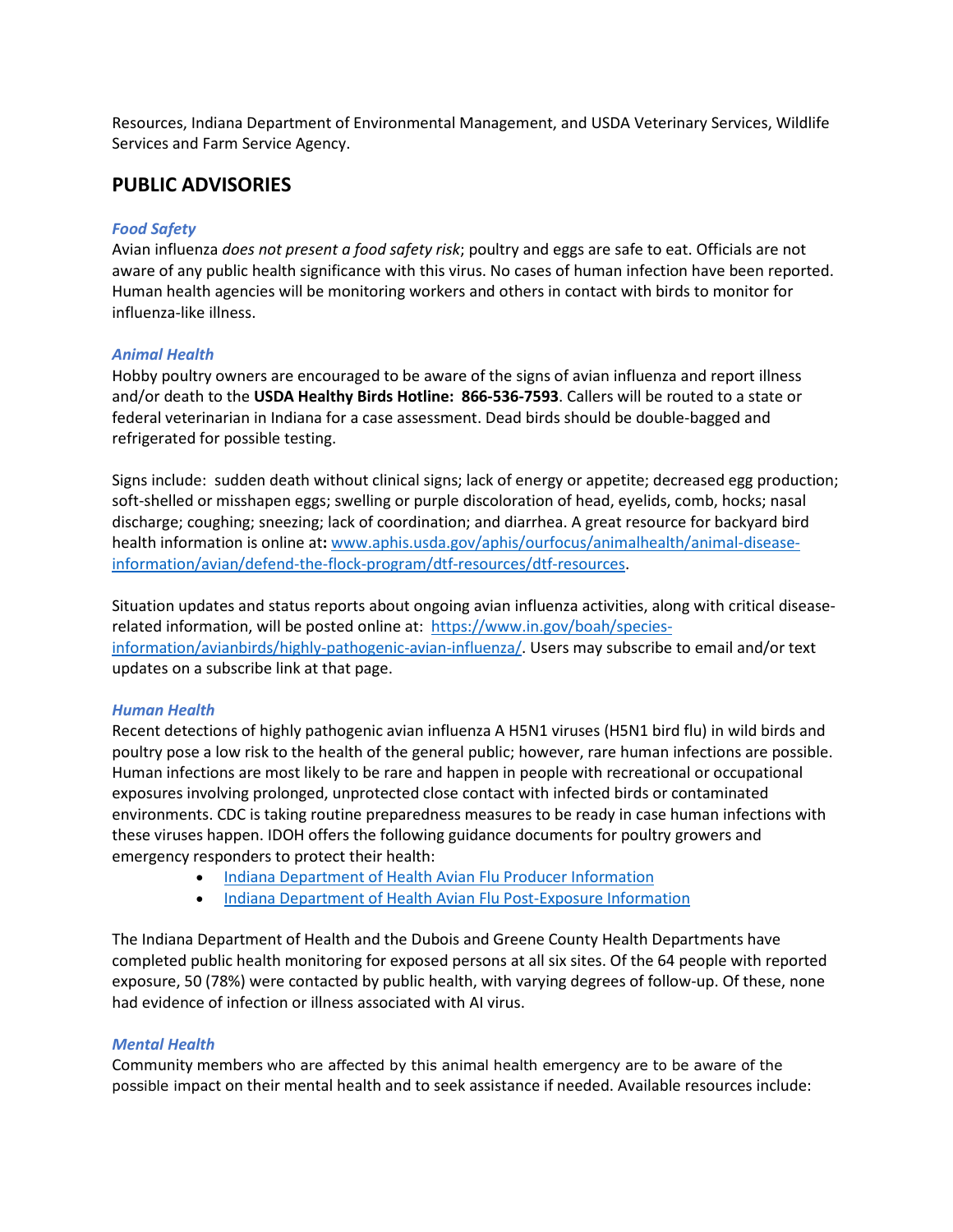Resources, Indiana Department of Environmental Management, and USDA Veterinary Services, Wildlife Services and Farm Service Agency.

# **PUBLIC ADVISORIES**

#### *Food Safety*

Avian influenza *does not present a food safety risk*; poultry and eggs are safe to eat. Officials are not aware of any public health significance with this virus. No cases of human infection have been reported. Human health agencies will be monitoring workers and others in contact with birds to monitor for influenza-like illness. 

#### *Animal Health*

Hobby poultry owners are encouraged to be aware of the signs of avian influenza and report illness and/or death to the **USDA Healthy Birds Hotline:  866-536-7593**. Callers will be routed to a state or federal veterinarian in Indiana for a case assessment. Dead birds should be double-bagged and refrigerated for possible testing. 

Signs include:  sudden death without clinical signs; lack of energy or appetite; decreased egg production; soft-shelled or misshapen eggs; swelling or purple discoloration of head, eyelids, comb, hocks; nasal discharge; coughing; sneezing; lack of coordination; and diarrhea. A great resource for backyard bird health information is online at**:** [www.aphis.usda.gov/aphis/ourfocus/animalhealth/animal-disease](http://www.aphis.usda.gov/aphis/ourfocus/animalhealth/animal-disease-information/avian/defend-the-flock-program/dtf-resources/dtf-resources)[information/avian/defend-the-flock-program/dtf-resources/dtf-resources.](http://www.aphis.usda.gov/aphis/ourfocus/animalhealth/animal-disease-information/avian/defend-the-flock-program/dtf-resources/dtf-resources)

Situation updates and status reports about ongoing avian influenza activities, along with critical diseaserelated information, will be posted online at:  [https://www.in.gov/boah/species](https://www.in.gov/boah/species-information/avianbirds/highly-pathogenic-avian-influenza/)[information/avianbirds/highly-pathogenic-avian-influenza/.](https://www.in.gov/boah/species-information/avianbirds/highly-pathogenic-avian-influenza/) Users may subscribe to email and/or text updates on a subscribe link at that page. 

#### *Human Health*

Recent detections of highly pathogenic avian influenza A H5N1 viruses (H5N1 bird flu) in wild birds and poultry pose a low risk to the health of the general public; however, rare human infections are possible. Human infections are most likely to be rare and happen in people with recreational or occupational exposures involving prolonged, unprotected close contact with infected birds or contaminated environments. CDC is taking routine preparedness measures to be ready in case human infections with these viruses happen. IDOH offers the following guidance documents for poultry growers and emergency responders to protect their health:

- [Indiana Department of Health Avian Flu Producer Information](https://www.in.gov/boah/files/2022-02-18_HPAI_Producer-packet.pdf)
- [Indiana Department of Health Avian Flu Post-Exposure Information](https://www.in.gov/boah/files/2022-02-18_HPAI_Producer-packet.pdf)

The Indiana Department of Health and the Dubois and Greene County Health Departments have completed public health monitoring for exposed persons at all six sites. Of the 64 people with reported exposure, 50 (78%) were contacted by public health, with varying degrees of follow-up. Of these, none had evidence of infection or illness associated with AI virus.

#### *Mental Health*

Community members who are affected by this animal health emergency are to be aware of the possible impact on their mental health and to seek assistance if needed. Available resources include: